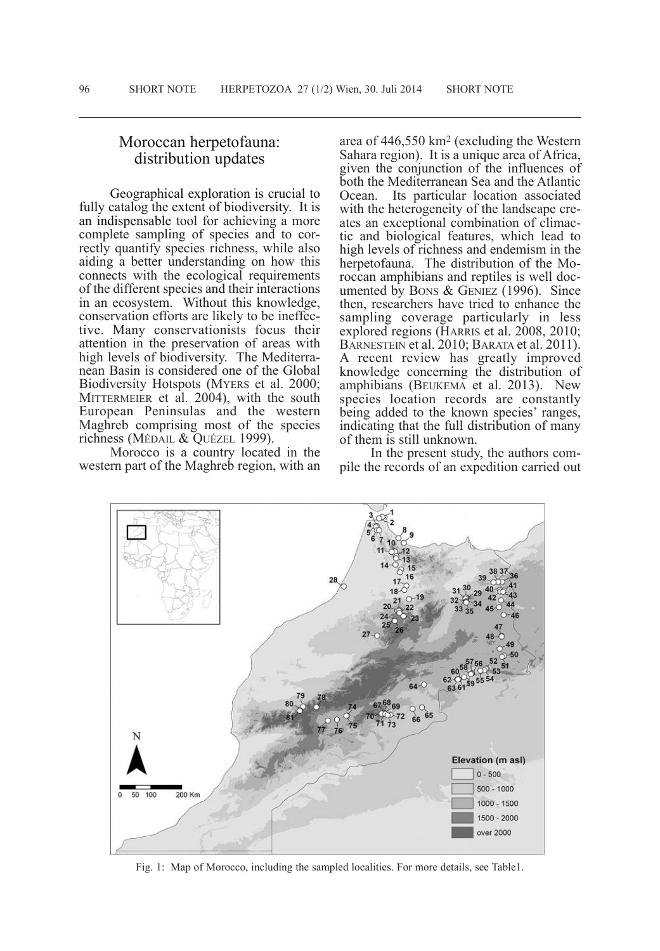## Moroccan herpetofauna: distribution updates

Geographical exploration is crucial to fully catalog the extent of biodiversity. It is an indispensable tool for achieving a more complete sampling of species and to correctly quantify species richness, while also aiding a better understanding on how this connects with the ecological requirements of the different species and their interactions<br>in an ecosystem. Without this knowledge, conservation efforts are likely to be ineffec-<br>tive. Many conservationists focus their attention in the preservation of areas with high levels of biodiversity. The Mediterra- nean Basin is considered one of the Global Biodiversity Hotspots (MyERS et al. 2000; MITTERMEIER et al. 2004), with the south European Peninsulas and the western Maghreb comprising most of the species richness (MÉDAIL & OUÉZEL 1999).

Morocco is a country located in the western part of the Maghreb region, with an

area of 446,550 km<sup>2</sup> (excluding the Western Sahara region). It is a unique area of Africa, given the conjunction of the influences of both the Mediterranean Sea and the Atlantic Ocean. Its particular location associated with the heterogeneity of the landscape cre-<br>ates an exceptional combination of climac-<br>tic and biological features, which lead to high levels of richness and endemism in the herpetofauna. The distribution of the Moroccan amphibians and reptiles is well doc-<br>umented by Bons  $\&$  GENIEZ (1996). Since then, researchers have tried to enhance the sampling coverage particularly in less explored regions (HARRIS et al. 2008, 2010; BARNESTEIN et al. 2010; BARATA et al. 2011). <sup>A</sup> recent review has greatly improved knowledge concerning the distribution of amphibians (BEukEMA et al. 2013). New species location records are constantly being added to the known species' ranges, indicating that the full distribution of many of them is still unknown.

In the present study, the authors compile the records of an expedition carried out



Fig. 1: Map of Morocco, including the sampled localities. For more details, see Table1.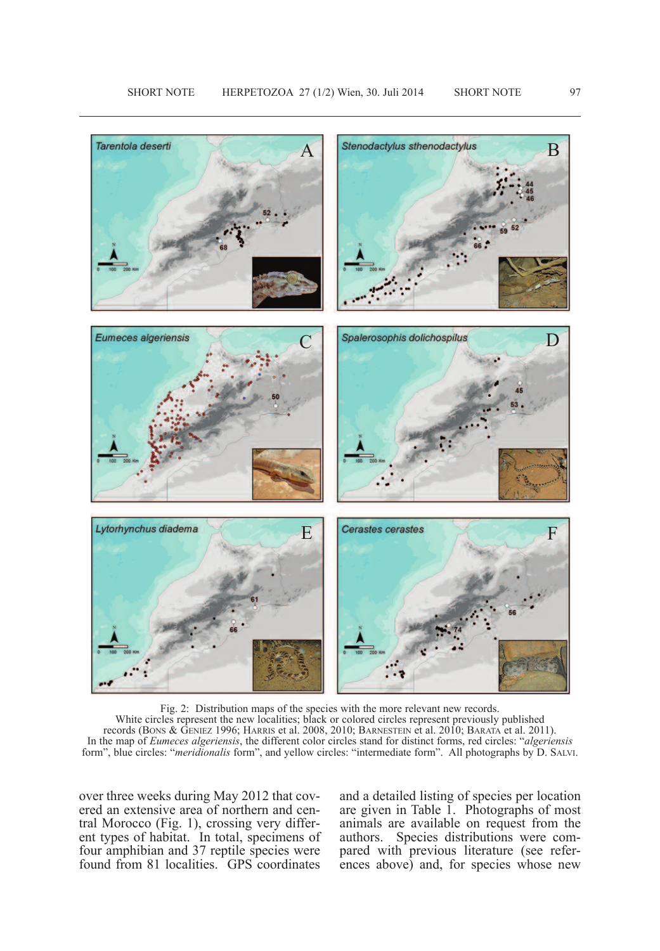

Fig. 2: Distribution maps of the species with the more relevant new records. White circles represent the new localities; black or colored circles represent previously published records (BONS & GENIEZ 1996; HARRIS et al. 2008, 2010; BARNESTEIN et al. 2010; BARATA et al. 2011). In the map of *Eumeces algeriensis*, the different color circles stand for distinct forms, red circles: "*algeriensis* form", blue circles: "*meridionalis* form", and yellow circles: "intermediate form". All photographs by D. SALVI.

over three weeks during May 2012 that covered an extensive area of northern and central Morocco (Fig. 1), crossing very different types of habitat. In total, specimens of four amphibian and 37 reptile species were found from 81 localities. GPS coordinates and a detailed listing of species per location are given in Table 1. Photographs of most animals are available on request from the authors. Species distributions were compared with previous literature (see references above) and, for species whose new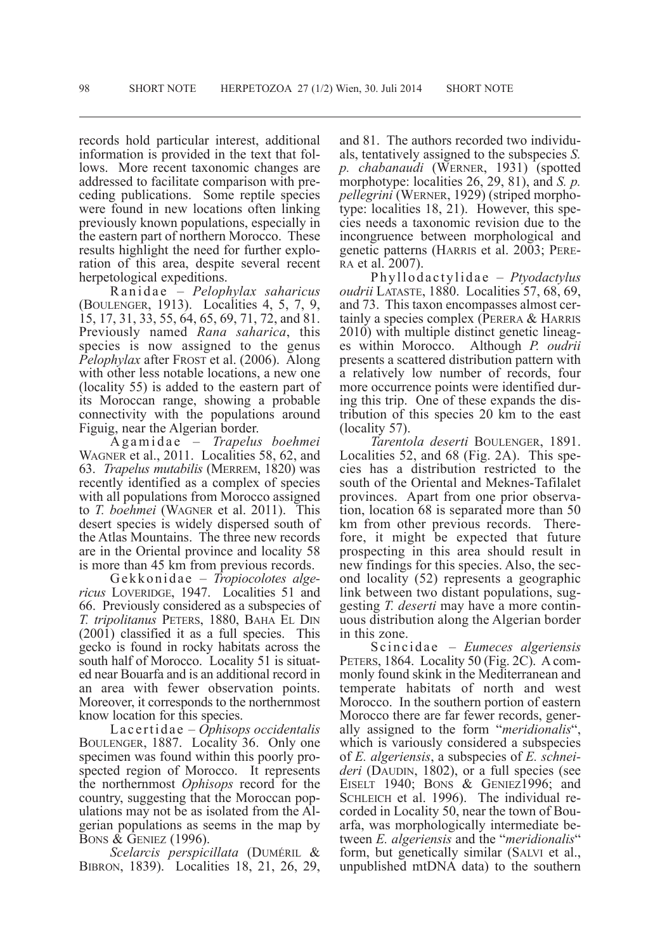records hold particular interest, additional information is provided in the text that follows. More recent taxonomic changes are addressed to facilitate comparison with preceding publications. Some reptile species were found in new locations often linking previously known populations, especially in the eastern part of northern Morocco. These results highlight the need for further exploration of this area, despite several recent herpetological expeditions.

Ra n i d a e – *Pelophylax saharicus* (BOulENGER, 1913). localities 4, 5, 7, 9, 15, 17, 31, 33, 55, 64, 65, 69, 71, 72, and 81. Previously named *Rana saharica*, this species is now assigned to the genus *Pelophylax* after FROST et al. (2006). Along with other less notable locations, a new one (locality 55) is added to the eastern part of its Moroccan range, showing a probable connectivity with the populations around Figuig, near the Algerian border.

A g ami d a e – *Trapelus boehmei* WAGNER et al., 2011. Localities 58, 62, and 63. *Trapelus mutabilis* (MERREM, 1820) was recently identified as a complex of species with all populations from Morocco assigned to *T. boehmei* (WAGNER et al. 2011). This desert species is widely dispersed south of the Atlas Mountains. The three new records are in the Oriental province and locality 58

is more than 45 km from previous records.<br>Gekkonidae – *Tropiocolotes alge-*<br>*ricus* LOVERIDGE, 1947. Localities 51 and 66. Previously considered as a subspecies of *T. tripolitanus* PETERS, 1880, BAHA EL DIN (2001) classified it as a full species. This gecko is found in rocky habitats across the south half of Morocco. Locality 51 is situated near Bouarfa and is an additional record in an area with fewer observation points. Moreover, it corresponds to the northernmost

know location for this species. la <sup>c</sup> <sup>e</sup> rtida <sup>e</sup> – *Ophisops occidentalis* BOULENGER, 1887. Locality 36. Only one specimen was found within this poorly prospected region of Morocco. It represents the northernmost *Ophisops* record for the country, suggesting that the Moroccan populations may not be as isolated from the Algerian populations as seems in the map by BONS & GENIEZ (1996).

 $Scelarcis perspicillata$  (DUMÉRIL & BIBRON, 1839). localities 18, 21, 26, 29, and 81. The authors recorded two individuals, tentatively assigned to the subspecies *S. p. chabanaudi* (WERNER, 1931) (spotted morphotype: localities 26, 29, 81), and *S. p. pellegrini* (WERNER, 1929) (striped morphotype: localities 18, 21). However, this species needs a taxonomic revision due to the incongruence between morphological and genetic patterns (HARRIS et al. 2003; PERE-RA et al. 2007).

Phylloda c tylida e – *Ptyodactylus oudrii* lATASTE, 1880. localities 57, 68, 69, and 73. This taxon encompasses almost certainly a species complex (PERERA & HARRIS 2010) with multiple distinct genetic lineages within Morocco. Although *P. oudrii* presents a scattered distribution pattern with a relatively low number of records, four more occurrence points were identified during this trip. One of these expands the distribution of this species 20 km to the east (locality 57).

*Tarentola deserti* BOulENGER, 1891. Localities 52, and 68 (Fig. 2A). This species has a distribution restricted to the south of the Oriental and Meknes-Tafilalet provinces. Apart from one prior observa- tion, location <sup>68</sup> is separated more than <sup>50</sup> km from other previous records. There-<br>fore, it might be expected that future prospecting in this area should result in new findings for this species. Also, the sec- ond locality (52) represents <sup>a</sup> geographic link between two distant populations, suggesting *T. deserti* may have a more continuous distribution along the Algerian border

in this zone. Sc inc ida <sup>e</sup> – *Eumeces algeriensis* PETERS, 1864. Locality 50 (Fig. 2C). A com-<br>monly found skink in the Mediterranean and temperate habitats of north and west Morocco. In the southern portion of eastern<br>Morocco there are far fewer records, generally assigned to the form "meridionalis", which is variously considered a subspecies of *E. algeriensis*, a subspecies of *E. schneideri* (DAUDIN, 1802), or a full species (see EISELT 1940; BONS & GENIEZ1996; and SCHLEICH et al. 1996). The individual recorded in locality 50, near the town of Bouarfa, was morphologically intermediate between *E. algeriensis* and the "*meridionalis*" form, but genetically similar (SAlvI et al., unpublished mtDNA data) to the southern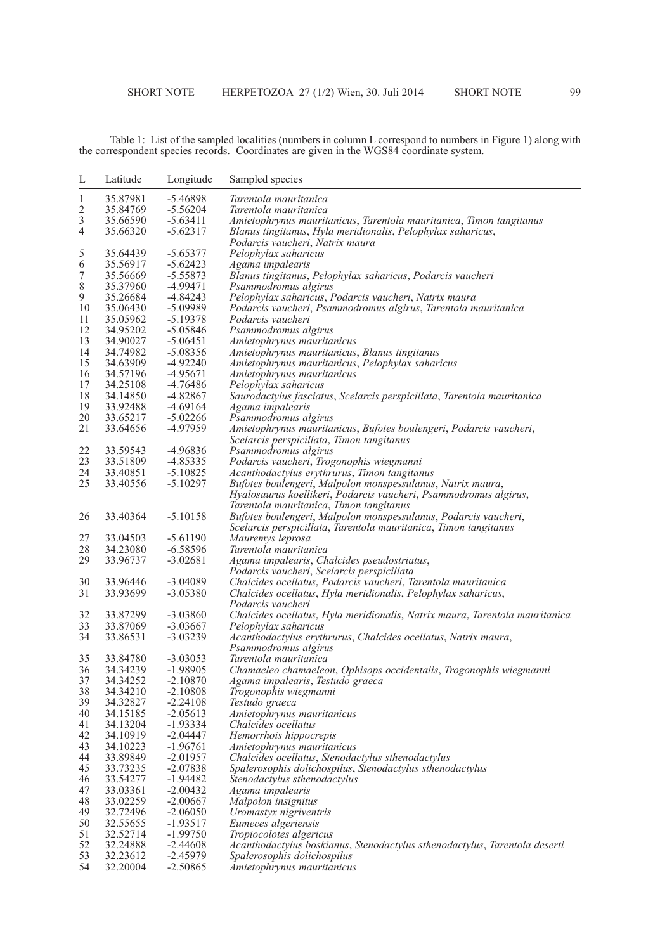Table 1: List of the sampled localities (numbers in column L correspond to numbers in Figure 1) along with the correspondent species records. Coordinates are given in the WGS84 coordinate system.

| L              | Latitude             | Longitude                | Sampled species                                                                                                                |
|----------------|----------------------|--------------------------|--------------------------------------------------------------------------------------------------------------------------------|
| 1              | 35.87981             | $-5.46898$               | Tarentola mauritanica                                                                                                          |
| $\overline{2}$ | 35.84769             | $-5.56204$               | Tarentola mauritanica                                                                                                          |
| 3              | 35.66590             | $-5.63411$               | Amietophrynus mauritanicus, Tarentola mauritanica, Timon tangitanus                                                            |
| 4              | 35.66320             | $-5.62317$               | Blanus tingitanus, Hyla meridionalis, Pelophylax saharicus,                                                                    |
|                |                      |                          | Podarcis vaucheri, Natrix maura                                                                                                |
| 5              | 35.64439             | $-5.65377$               | Pelophylax saharicus                                                                                                           |
| 6              | 35.56917             | $-5.62423$               | Agama impalearis                                                                                                               |
| 7              | 35.56669             | $-5.55873$               | Blanus tingitanus, Pelophylax saharicus, Podarcis vaucheri                                                                     |
| 8              | 35.37960             | $-4.99471$               | Psammodromus algirus                                                                                                           |
| 9              | 35.26684             | $-4.84243$               | Pelophylax saharicus, Podarcis vaucheri, Natrix maura                                                                          |
| 10             | 35.06430             | $-5.09989$               | Podarcis vaucheri, Psammodromus algirus, Tarentola mauritanica                                                                 |
| 11             | 35.05962             | $-5.19378$               | Podarcis vaucheri                                                                                                              |
| 12             | 34.95202             | $-5.05846$               | Psammodromus algirus                                                                                                           |
| 13             | 34.90027             | $-5.06451$               | Amietophrynus mauritanicus                                                                                                     |
| 14             | 34.74982             | $-5.08356$               | Amietophrynus mauritanicus, Blanus tingitanus                                                                                  |
| 15             | 34.63909             | $-4.92240$               | Amietophrynus mauritanicus, Pelophylax saharicus                                                                               |
| 16             | 34.57196             | $-4.95671$               | Amietophrynus mauritanicus                                                                                                     |
| 17             | 34.25108             | $-4.76486$               | Pelophylax saharicus                                                                                                           |
| 18             | 34.14850             | -4.82867                 | Saurodactylus fasciatus, Scelarcis perspicillata, Tarentola mauritanica                                                        |
| 19             | 33.92488             | $-4.69164$               | Agama impalearis                                                                                                               |
| 20             | 33.65217             | $-5.02266$               | Psammodromus algirus                                                                                                           |
| 21             | 33.64656             | -4.97959                 | Amietophrynus mauritanicus, Bufotes boulengeri, Podarcis vaucheri,                                                             |
|                |                      |                          |                                                                                                                                |
| 22             | 33.59543             | $-4.96836$               | Scelarcis perspicillata, Timon tangitanus<br>Psammodromus algirus                                                              |
| 23             | 33.51809             | $-4.85335$               |                                                                                                                                |
| 24             | 33.40851             | $-5.10825$               | Podarcis vaucheri, Trogonophis wiegmanni                                                                                       |
| 25             | 33.40556             |                          | Acanthodactylus erythrurus, Timon tangitanus                                                                                   |
|                |                      | $-5.10297$               | Bufotes boulengeri, Malpolon monspessulanus, Natrix maura,<br>Hyalosaurus koellikeri, Podarcis vaucheri, Psammodromus algirus, |
|                |                      |                          |                                                                                                                                |
|                | 33.40364             | $-5.10158$               | Tarentola mauritanica, Timon tangitanus                                                                                        |
| 26             |                      |                          | Bufotes boulengeri, Malpolon monspessulanus, Podarcis vaucheri,                                                                |
| 27             | 33.04503             | $-5.61190$               | Scelarcis perspicillata, Tarentola mauritanica, Timon tangitanus                                                               |
|                |                      |                          | Mauremys leprosa                                                                                                               |
| 28<br>29       | 34.23080<br>33.96737 | $-6.58596$<br>$-3.02681$ | Tarentola mauritanica                                                                                                          |
|                |                      |                          | Agama impalearis, Chalcides pseudostriatus,                                                                                    |
| 30             | 33.96446             | $-3.04089$               | Podarcis vaucheri, Scelarcis perspicillata                                                                                     |
| 31             | 33.93699             | $-3.05380$               | Chalcides ocellatus, Podarcis vaucheri, Tarentola mauritanica<br>Chalcides ocellatus, Hyla meridionalis, Pelophylax saharicus, |
|                |                      |                          | Podarcis vaucheri                                                                                                              |
| 32             | 33.87299             | $-3.03860$               | Chalcides ocellatus, Hyla meridionalis, Natrix maura, Tarentola mauritanica                                                    |
| 33             | 33.87069             | $-3.03667$               | Pelophylax saharicus                                                                                                           |
| 34             | 33.86531             | $-3.03239$               | Acanthodactylus erythrurus, Chalcides ocellatus, Natrix maura,                                                                 |
|                |                      |                          | Psammodromus algirus                                                                                                           |
| 35             | 33.84780             | $-3.03053$               | Tarentola mauritanica                                                                                                          |
| 36             | 34.34239             | $-1.98905$               | Chamaeleo chamaeleon, Ophisops occidentalis, Trogonophis wiegmanni                                                             |
| 37             | 34.34252             | $-2.10870$               | Agama impalearis, Testudo graeca                                                                                               |
| 38             | 34.34210             | $-2.10808$               | Trogonophis wiegmanni                                                                                                          |
| 39             | 34.32827             | $-2.24108$               | Testudo graeca                                                                                                                 |
| 40             | 34.15185             | $-2.05613$               | Amietophrynus mauritanicus                                                                                                     |
| 41             | 34.13204             | $-1.93334$               | Chalcides ocellatus                                                                                                            |
| 42             | 34.10919             | $-2.04447$               | Hemorrhois hippocrepis                                                                                                         |
| 43             | 34.10223             | $-1.96761$               | Amietophrynus mauritanicus                                                                                                     |
| 44             | 33.89849             | $-2.01957$               | Chalcides ocellatus, Stenodactylus sthenodactylus                                                                              |
| 45             | 33.73235             | $-2.07838$               | Spalerosophis dolichospilus, Stenodactylus sthenodactylus                                                                      |
| 46             | 33.54277             | $-1.94482$               | Stenodactylus sthenodactylus                                                                                                   |
| 47             | 33.03361             | $-2.00432$               |                                                                                                                                |
| 48             | 33.02259             | $-2.00667$               | Agama impalearis<br>Malpolon insignitus                                                                                        |
| 49             | 32.72496             | $-2.06050$               | Uromastyx nigriventris                                                                                                         |
| 50             | 32.55655             | $-1.93517$               | Eumeces algeriensis                                                                                                            |
| 51             | 32.52714             | $-1.99750$               | Tropiocolotes algericus                                                                                                        |
| 52             | 32.24888             | $-2.44608$               | Acanthodactylus boskianus, Stenodactylus sthenodactylus, Tarentola deserti                                                     |
| 53             | 32.23612             | $-2.45979$               | Spalerosophis dolichospilus                                                                                                    |
| 54             | 32.20004             | $-2.50865$               | Amietophrynus mauritanicus                                                                                                     |
|                |                      |                          |                                                                                                                                |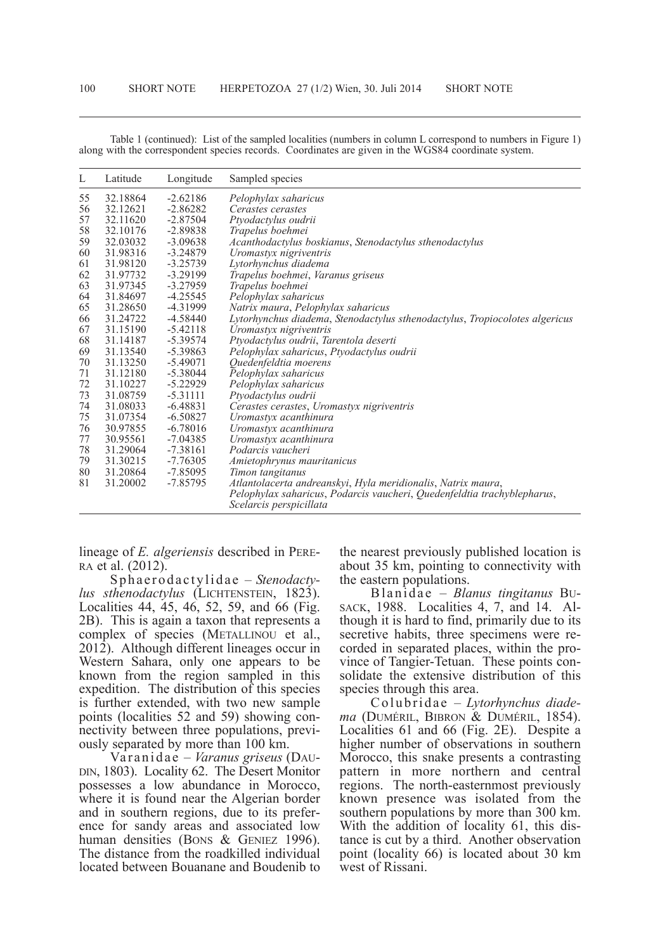| L  | Latitude | Longitude  | Sampled species                                                                                    |
|----|----------|------------|----------------------------------------------------------------------------------------------------|
| 55 | 32.18864 | $-2.62186$ | Pelophylax saharicus                                                                               |
| 56 | 32.12621 | $-2.86282$ | Cerastes cerastes                                                                                  |
| 57 | 32.11620 | $-2.87504$ | Ptyodactylus oudrii                                                                                |
| 58 | 32.10176 | $-2.89838$ | Trapelus boehmei                                                                                   |
| 59 | 32.03032 | $-3.09638$ | Acanthodactylus boskianus, Stenodactylus sthenodactylus                                            |
| 60 | 31.98316 | $-3.24879$ | Uromastyx nigriventris                                                                             |
| 61 | 31.98120 | $-3.25739$ | Lytorhynchus diadema                                                                               |
| 62 | 31.97732 | $-3.29199$ | Trapelus boehmei, Varanus griseus                                                                  |
| 63 | 31.97345 | $-3.27959$ | Trapelus boehmei                                                                                   |
| 64 | 31.84697 | $-4.25545$ | Pelophylax saharicus                                                                               |
| 65 | 31.28650 | -4.31999   | Natrix maura, Pelophylax saharicus                                                                 |
| 66 | 31.24722 | -4.58440   | Lytorhynchus diadema, Stenodactylus sthenodactylus, Tropiocolotes algericus                        |
| 67 | 31.15190 | $-5.42118$ | Uromastyx nigriventris                                                                             |
| 68 | 31.14187 | -5.39574   | Ptyodactylus oudrii, Tarentola deserti                                                             |
| 69 | 31.13540 | $-5.39863$ | Pelophylax saharicus, Ptyodactylus oudrii                                                          |
| 70 | 31.13250 | $-5.49071$ | Quedenfeldtia moerens                                                                              |
| 71 | 31.12180 | $-5.38044$ | Pelophylax saharicus                                                                               |
| 72 | 31.10227 | $-5.22929$ | Pelophylax saharicus                                                                               |
| 73 | 31.08759 | $-5.31111$ | Ptyodactylus oudrii                                                                                |
| 74 | 31.08033 | $-6.48831$ | Cerastes cerastes, Uromastyx nigriventris                                                          |
| 75 | 31.07354 | $-6.50827$ | Uromastyx acanthinura                                                                              |
| 76 | 30.97855 | $-6.78016$ | Uromastyx acanthinura                                                                              |
| 77 | 30.95561 | $-7.04385$ | Uromastyx acanthinura                                                                              |
| 78 | 31.29064 | $-7.38161$ | Podarcis vaucheri                                                                                  |
| 79 | 31.30215 | $-7.76305$ | Amietophrynus mauritanicus                                                                         |
| 80 | 31.20864 | $-7.85095$ | Timon tangitanus                                                                                   |
| 81 | 31.20002 | -7.85795   | Atlantolacerta andreanskyi, Hyla meridionalis, Natrix maura,                                       |
|    |          |            | Pelophylax saharicus, Podarcis vaucheri, Quedenfeldtia trachyblepharus,<br>Scelarcis perspicillata |

Table 1 (continued): List of the sampled localities (numbers in column L correspond to numbers in Figure 1) along with the correspondent species records. Coordinates are given in the WGS84 coordinate system.

lineage of *E. algeriensis* described in PERE-RA et al. (2012).

Sp h a e r o da c tylid a e – *Stenodacty*lus *sthenodactylus* (LICHTENSTEIN, 1823). Localities 44, 45, 46, 52, 59, and 66 (Fig. 2B). This is again a taxon that represents a complex of species (METALLINOU et al.,  $201\overline{2}$ ). Although different lineages occur in Western Sahara, only one appears to be known from the region sampled in this expedition. The distribution of this species is further extended, with two new sample points (localities 52 and 59) showing con-<br>nectivity between three populations, previ-<br>ously separated by more than 100 km.<br>Var anida e – *Varanus griseus* (DAU-<br>DIN, 1803). Locality 62. The Desert Monitor

possesses <sup>a</sup> low abundance in Morocco, where it is found near the Algerian border and in southern regions, due to its prefer-<br>ence for sandy areas and associated low<br>human densities (Bons & GENIEZ 1996). The distance from the roadkilled individual located between Bouanane and Boudenib to

the nearest previously published location is about 35 km, pointing to connectivity with the eastern populations.<br>Blanidae – Blanus tingitanus BU-

SACK, 1988. Localities 4, 7, and 14. Al-<br>though it is hard to find, primarily due to its<br>secretive habits, three specimens were recorded in separated places, within the pro-<br>vince of Tangier-Tetuan. These points con-<br>solidate the extensive distribution of this<br>species through this area.

Colubridae – *Lytorhynchus diade-*<br>ma (DUMÉRIL, BIBRON & DUMÉRIL, 1854).<br>Localities 61 and 66 (Fig. 2E). Despite a higher number of observations in southern Morocco, this snake presents a contrasting pattern in more northern and central regions. The north-easternmost previously known presence was isolated from the southern populations by more than 300 km. With the addition of locality 61, this distance is cut by a third. Another observation point (locality 66) is located about 30 km west of Rissani.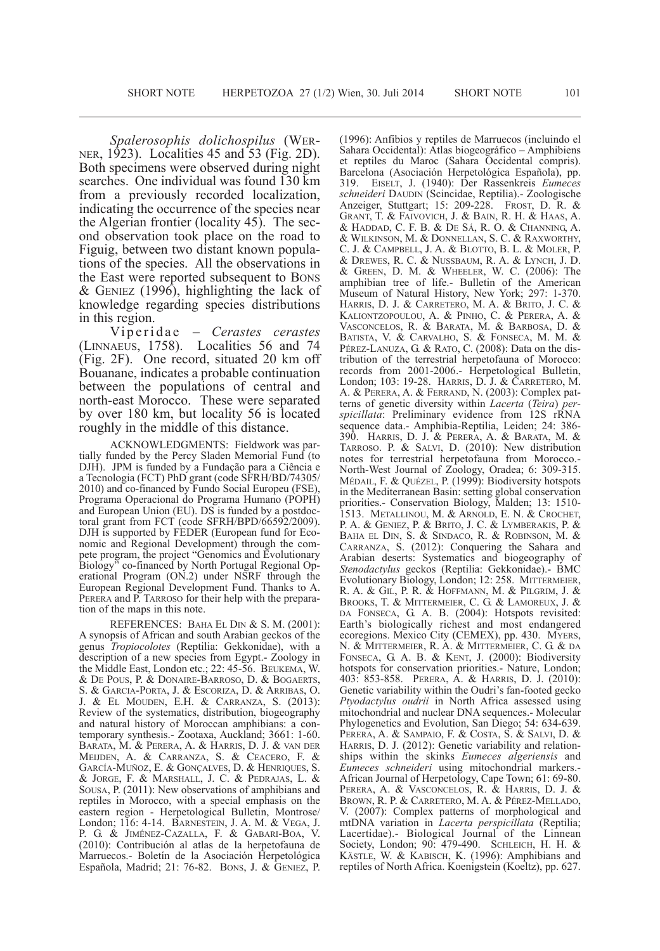*Spalerosophis dolichospilus* (WERNER, 1923). Localities 45 and 53 (Fig. 2D). Both specimens were observed during night searches. One individual was found 130 km from <sup>a</sup> previously recorded localization, indicating the occurrence of the species near the Algerian frontier (locality 45). The sec- ond observation took place on the road to Figuig, between two distant known populations of the species. All the observations in the East were reported subsequent to BONS  $&$  GENIEZ (1996), highlighting the lack of knowledge regarding species distributions in this region. vi <sup>p</sup> <sup>e</sup> ri <sup>d</sup> <sup>a</sup> <sup>e</sup> – *Cerastes cerastes*

(lINNAEuS, 1758). localities 56 and 74 (Fig. 2F). One record, situated 20 km off Bouanane, indicates a probable continuation between the populations of central and north-east Morocco. These were separated by over 180 km, but locality 56 is located roughly in the middle of this distance.

ACKNOWLEDGMENTS: Fieldwork was partially funded by the Percy Sladen Memorial Fund (to DJH). JPM is funded by a Fundação para a Ciência e a Tecnologia (FCT) PhD grant (code SFRH/BD/74305/ 2010) and co-financed by Fundo Social Europeu (FSE), Programa Operacional do Programa Humano (POPH) and European Union (EU). DS is funded by a postdoctoral grant from FCT (code SFRH/BPD/66592/2009). DJH is supported by FEDER (European fund for Economic and Regional Development) through the compete program, the project "Genomics and Evolutionary Biology" co-financed by North Portugal Regional Operational Program (ON.2) under NSRF through the European Regional Development Fund. Thanks to A. PERERA and P. TARROSO for their help with the preparation of the maps in this note.

REFERENCES: BAHA EL DIN & S. M. (2001): A synopsis of African and south Arabian geckos of the genus *Tropiocolotes* (Reptilia: Gekkonidae), with a description of a new species from Egypt.- Zoology in the Middle East, london etc.; 22: 45-56. BEukEMA, W. & dE POuS, P. & dONAIRE-BARROSO, d. & BOGAERTS, S. & GARCIA-PORTA, J. & ESCORIZA, D. & ARRIBAS, O. J. & El MOudEN, E.H. & CARRANZA, S. (2013): Review of the systematics, distribution, biogeography and natural history of Moroccan amphibians: a contemporary synthesis.- Zootaxa, Auckland; 3661: 1-60. BARATA, M. & PERERA, A. & HARRIS, d. J. & vAN dER MEIJdEN, A. & CARRANZA, S. & CEACERO, F. & GARCíA-MuñOZ, E. & GONçAlvES, d. & HENRIQuES, S. & JORGE, F. & MARSHAll, J. C. & PEdRAJAS, l. & SOuSA, P. (2011): New observations of amphibians and reptiles in Morocco, with a special emphasis on the eastern region - Herpetological Bulletin, Montrose/ london; 116: 4-14. BARNESTEIN, J. A. M. & vEGA, J. P. G. & JIMéNEZ-CAZAllA, F. & GABARI-BOA, v. (2010): Contribución al atlas de la herpetofauna de Marruecos.- Boletín de la Asociación Herpetológica Española, Madrid; 21: 76-82. BONS, J. & GENIEZ, P.

(1996): Anfibios y reptiles de Marruecos (incluindo el Sahara Occidental): Atlas biogeográfico – Amphibiens et reptiles du Maroc (Sahara Occidental compris). Barcelona (Asociación Herpetológica Española), pp. 319. EISElT, J. (1940): der Rassenkreis *Eumeces schneideri* dAudIN (Scincidae, Reptilia).- Zoologische Anzeiger, Stuttgart; 15: 209-228. FROST, D. R. & GRANT, T. & FAIvOvICH, J. & BAIN, R. H. & HAAS, A. & HAddAd, C. F. B. & dE Sá, R. O. & CHANNING, A. & WIlkINSON, M. & dONNEllAN, S. C. & RAxWORTHy, C. J. & CAMPBEll, J. A. & BlOTTO, B. l. & MOlER, P. & dREWES, R. C. & NuSSBAuM, R. A. & lyNCH, J. d. & GREEN, d. M. & WHEElER, W. C. (2006): The amphibian tree of life.- Bulletin of the American Museum of Natural History, New york; 297: 1-370. HARRIS, d. J. & CARRETERO, M. A. & BRITO, J. C. & kAlIONTZOPOulOu, A. & PINHO, C. & PERERA, A. & vASCONCElOS, R. & BARATA, M. & BARBOSA, d. & BATISTA, v. & CARvAlHO, S. & FONSECA, M. M. & PÉREZ-LANUZA, G. & RATO, C. (2008): Data on the distribution of the terrestrial herpetofauna of Morocco: records from 2001-2006.- Herpetological Bulletin, London; 103: 19-28. HARRIS, D. J. & CARRETERO, M. A. & PERERA, A. & FERRAND, N. (2003): Complex patterns of genetic diversity within *Lacerta* (*Teira*) *perspicillata*: Preliminary evidence from 12S rRNA sequence data.- Amphibia-Reptilia, leiden; 24: 386- 390. HARRIS, d. J. & PERERA, A. & BARATA, M. & TARROSO. P.  $&$  SALVI, D. (2010): New distribution notes for terrestrial herpetofauna from Morocco.- North-West Journal of Zoology, Oradea; 6: 309-315. MédAIl, F. & QuéZEl, P. (1999): Biodiversity hotspots in the Mediterranean Basin: setting global conservation priorities.- Conservation Biology, Malden; 13: 1510- 1513. METAllINOu, M. & ARNOld, E. N. & CROCHET, P. A. & GENIEZ, P. & BRITO, J. C. & lyMBERAkIS, P. & BAHA EL DIN, S. & SINDACO, R. & ROBINSON, M. & CARRANZA, S. (2012): Conquering the Sahara and Arabian deserts: Systematics and biogeography of *Stenodactylus* geckos (Reptilia: Gekkonidae).- BMC Evolutionary Biology, london; 12: 258. MITTERMEIER, R. A. & GIl, P. R. & HOFFMANN, M. & PIlGRIM, J. & BROOkS, T. & MITTERMEIER, C. G. & lAMOREux, J. & DA FONSECA, G. A. B. (2004): Hotspots revisited: Earth's biologically richest and most endangered ecoregions. Mexico City (CEMEX), pp. 430. MYERS, N. & MITTERMEIER, R. A. & MITTERMEIER, C. G. & dA FONSECA, G. A. B. & KENT, J. (2000): Biodiversity hotspots for conservation priorities. Nature, London; 403: 853-858. PERERA, A. & HARRIS, d. J. (2010): Genetic variability within the Oudri's fan-footed gecko *Ptyodactylus oudrii* in North Africa assessed using mitochondrial and nuclear DNA sequences.- Molecular Phylogenetics and Evolution, San Diego; 54: 634-639. PERERA, A. & SAMPAIO, F. & COSTA, S. & SALVI, D. & HARRIS, D. J. (2012): Genetic variability and relationships within the skinks *Eumeces algeriensis* and *Eumeces schneideri* using mitochondrial markers.- African Journal of Herpetology, Cape Town; 61: 69-80. PERERA, A. & VASCONCELOS, R. & HARRIS, D. J. & BROWN, R. P. & CARRETERO, M. A. & PéREZ-MEllAdO, v. (2007): Complex patterns of morphological and mtdNA variation in *Lacerta perspicillata* (Reptilia; Lacertidae).- Biological Journal of the Linnean Society, London; 90: 479-490. SCHLEICH, H. H. & käSTlE, W. & kABISCH, k. (1996): Amphibians and reptiles of North Africa. koenigstein (koeltz), pp. 627.